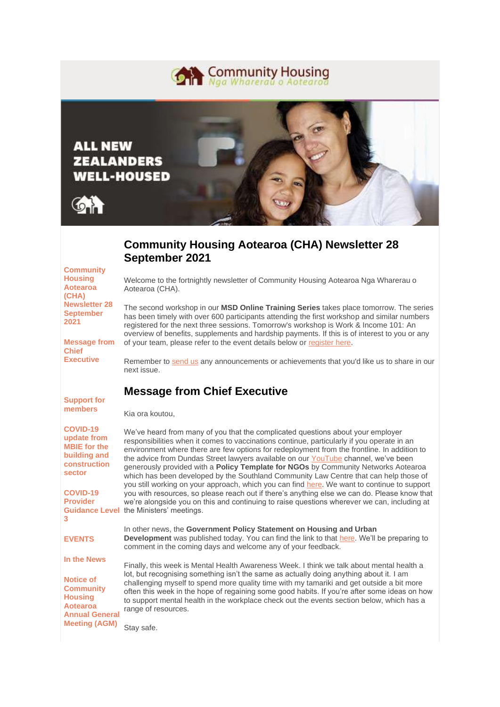



# **Community Housing Aotearoa (CHA) Newsletter 28 September 2021**

| <b>Community</b><br><b>Housing</b><br><b>Aotearoa</b><br>(CHA)                                                                        | Welcome to the fortnightly newsletter of Community Housing Aotearoa Nga Wharerau o<br>Aotearoa (CHA).                                                                                                                                                                                                                                                                                                                                                                                                                                                                                                                                                                                                                                            |
|---------------------------------------------------------------------------------------------------------------------------------------|--------------------------------------------------------------------------------------------------------------------------------------------------------------------------------------------------------------------------------------------------------------------------------------------------------------------------------------------------------------------------------------------------------------------------------------------------------------------------------------------------------------------------------------------------------------------------------------------------------------------------------------------------------------------------------------------------------------------------------------------------|
| <b>Newsletter 28</b><br><b>September</b><br>2021                                                                                      | The second workshop in our MSD Online Training Series takes place tomorrow. The series<br>has been timely with over 600 participants attending the first workshop and similar numbers<br>registered for the next three sessions. Tomorrow's workshop is Work & Income 101: An<br>overview of benefits, supplements and hardship payments. If this is of interest to you or any                                                                                                                                                                                                                                                                                                                                                                   |
| <b>Message from</b><br><b>Chief</b>                                                                                                   | of your team, please refer to the event details below or register here.                                                                                                                                                                                                                                                                                                                                                                                                                                                                                                                                                                                                                                                                          |
| <b>Executive</b>                                                                                                                      | Remember to send us any announcements or achievements that you'd like us to share in our<br>next issue.                                                                                                                                                                                                                                                                                                                                                                                                                                                                                                                                                                                                                                          |
| <b>Support for</b>                                                                                                                    | <b>Message from Chief Executive</b>                                                                                                                                                                                                                                                                                                                                                                                                                                                                                                                                                                                                                                                                                                              |
| members                                                                                                                               | Kia ora koutou,                                                                                                                                                                                                                                                                                                                                                                                                                                                                                                                                                                                                                                                                                                                                  |
| <b>COVID-19</b><br>update from<br><b>MBIE</b> for the<br>building and<br>construction<br>sector<br><b>COVID-19</b><br><b>Provider</b> | We've heard from many of you that the complicated questions about your employer<br>responsibilities when it comes to vaccinations continue, particularly if you operate in an<br>environment where there are few options for redeployment from the frontline. In addition to<br>the advice from Dundas Street lawyers available on our YouTube channel, we've been<br>generously provided with a Policy Template for NGOs by Community Networks Aotearoa<br>which has been developed by the Southland Community Law Centre that can help those of<br>you still working on your approach, which you can find here. We want to continue to support<br>you with resources, so please reach out if there's anything else we can do. Please know that |
| 3                                                                                                                                     | we're alongside you on this and continuing to raise questions wherever we can, including at<br><b>Guidance Level</b> the Ministers' meetings.                                                                                                                                                                                                                                                                                                                                                                                                                                                                                                                                                                                                    |
| <b>EVENTS</b>                                                                                                                         | In other news, the Government Policy Statement on Housing and Urban<br><b>Development</b> was published today. You can find the link to that here. We'll be preparing to<br>comment in the coming days and welcome any of your feedback.                                                                                                                                                                                                                                                                                                                                                                                                                                                                                                         |
| In the News                                                                                                                           | Finally, this week is Mental Health Awareness Week. I think we talk about mental health a                                                                                                                                                                                                                                                                                                                                                                                                                                                                                                                                                                                                                                                        |
| <b>Notice of</b><br><b>Community</b><br><b>Housing</b><br><b>Aotearoa</b><br><b>Annual General</b>                                    | lot, but recognising something isn't the same as actually doing anything about it. I am<br>challenging myself to spend more quality time with my tamariki and get outside a bit more<br>often this week in the hope of regaining some good habits. If you're after some ideas on how<br>to support mental health in the workplace check out the events section below, which has a<br>range of resources.                                                                                                                                                                                                                                                                                                                                         |
| <b>Meeting (AGM)</b>                                                                                                                  | Stay safe.                                                                                                                                                                                                                                                                                                                                                                                                                                                                                                                                                                                                                                                                                                                                       |

**[In the News](https://my.send.net.nz/t/ViewEmailInIFrame/r/AC47D87DD59336A02540EF23F30FEDED/C67FD2F38AC4859C/?tx=0#toc_item_7)**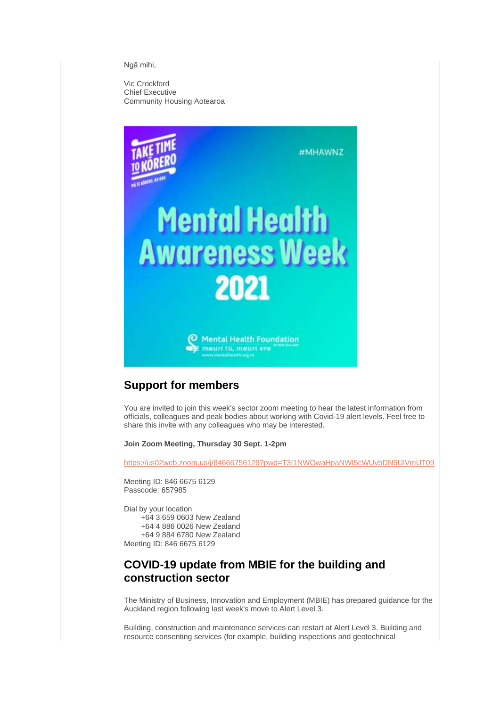Ngā mihi,

Vic Crockford Chief Executive Community Housing Aotearoa



## **Support for members**

You are invited to join this week's sector zoom meeting to hear the latest information from officials, colleagues and peak bodies about working with Covid-19 alert levels. Feel free to share this invite with any colleagues who may be interested.

**Join Zoom Meeting, Thursday 30 Sept. 1-2pm**

[https://us02web.zoom.us/j/84666756129?pwd=T3I1NWQwaHpaNWI5cWUvbDN5UlVmUT09](https://my.send.net.nz/t/r-l-trqkdhk-l-c/)

Meeting ID: 846 6675 6129 Passcode: 657985

Dial by your location +64 3 659 0603 New Zealand +64 4 886 0026 New Zealand +64 9 884 6780 New Zealand Meeting ID: 846 6675 6129

## **COVID-19 update from MBIE for the building and construction sector**

The Ministry of Business, Innovation and Employment (MBIE) has prepared guidance for the Auckland region following last week's move to Alert Level 3.

Building, construction and maintenance services can restart at Alert Level 3. Building and resource consenting services (for example, building inspections and geotechnical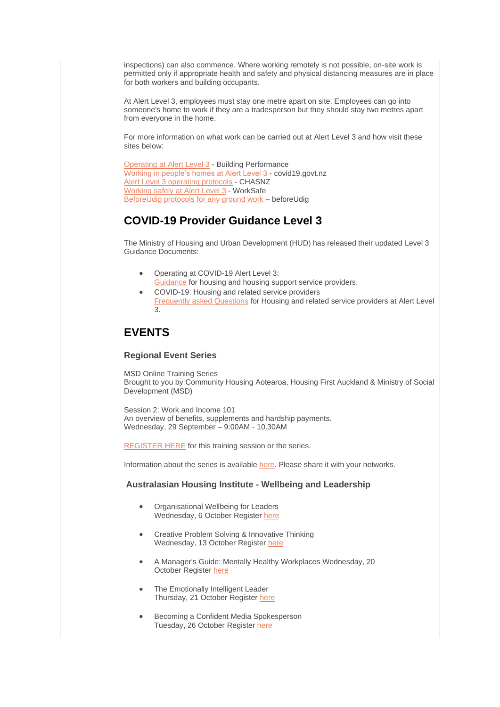inspections) can also commence. Where working remotely is not possible, on-site work is permitted only if appropriate health and safety and physical distancing measures are in place for both workers and building occupants.

At Alert Level 3, employees must stay one metre apart on site. Employees can go into someone's home to work if they are a tradesperson but they should stay two metres apart from everyone in the home.

For more information on what work can be carried out at Alert Level 3 and how visit these sites below:

```
Operating at Alert Level 3 - Building Performance
Working in people's homes at Alert Level 3 - covid19.govt.nz
Alert Level 3 operating protocols - CHASNZ
Working safely at Alert Level 3 - WorkSafe
BeforeUdig protocols for any ground work – beforeUdig
```
## **COVID-19 Provider Guidance Level 3**

The Ministry of Housing and Urban Development (HUD) has released their updated Level 3 Guidance Documents:

- Operating at COVID-19 Alert Level 3: [Guidance](https://my.send.net.nz/t/r-l-trqkdhk-l-e/) for housing and housing support service providers.
- COVID-19: Housing and related service providers [Frequently asked Questions](https://my.send.net.nz/t/r-l-trqkdhk-l-s/) for Housing and related service providers at Alert Level 3.

# **EVENTS**

#### **Regional Event Series**

MSD Online Training Series Brought to you by Community Housing Aotearoa, Housing First Auckland & Ministry of Social Development (MSD)

Session 2: Work and Income 101 An overview of benefits, supplements and hardship payments. Wednesday, 29 September – 9:00AM - 10.30AM

[REGISTER HERE](https://my.send.net.nz/t/r-l-trqkdhk-l-g/) for this training session or the series.

Information about the series is available [here.](https://my.send.net.nz/t/r-l-trqkdhk-l-w/) Please share it with your networks.

#### **Australasian Housing Institute - Wellbeing and Leadership**

- Organisational Wellbeing for Leaders Wednesday, 6 October Register [here](https://my.send.net.nz/t/r-l-trqkdhk-l-yd/)
- Creative Problem Solving & Innovative Thinking Wednesday, 13 October Register [here](https://my.send.net.nz/t/r-l-trqkdhk-l-yh/)
- A Manager's Guide: Mentally Healthy Workplaces Wednesday, 20 October Register [here](https://my.send.net.nz/t/r-l-trqkdhk-l-yk/)
- The Emotionally Intelligent Leader Thursday, 21 October Register [here](https://my.send.net.nz/t/r-l-trqkdhk-l-yu/)
- Becoming a Confident Media Spokesperson Tuesday, 26 October Register [here](https://my.send.net.nz/t/r-l-trqkdhk-l-jl/)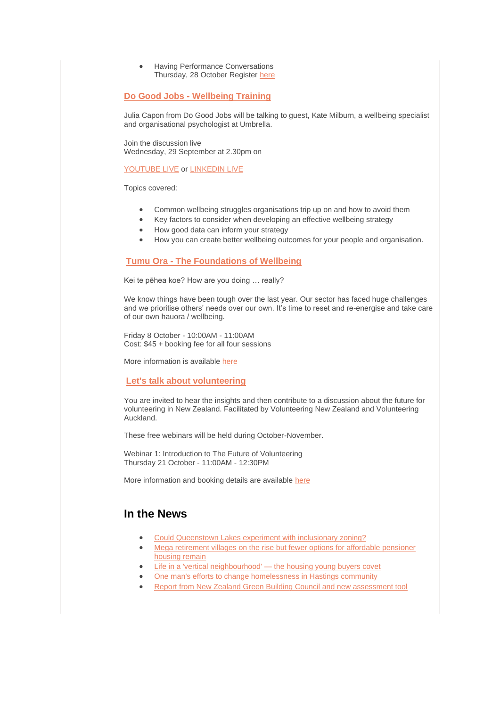• Having Performance Conversations Thursday, 28 October Register [here](https://my.send.net.nz/t/r-l-trqkdhk-l-jr/)

### **Do Good Jobs - [Wellbeing Training](https://my.send.net.nz/t/r-l-trqkdhk-l-jy/)**

Julia Capon from Do Good Jobs will be talking to guest, Kate Milburn, a wellbeing specialist and organisational psychologist at Umbrella.

Join the discussion live Wednesday, 29 September at 2.30pm on

#### [YOUTUBE LIVE](https://my.send.net.nz/t/r-l-trqkdhk-l-jj/) or [LINKEDIN LIVE](https://my.send.net.nz/t/r-l-trqkdhk-l-jt/)

Topics covered:

- Common wellbeing struggles organisations trip up on and how to avoid them
- Key factors to consider when developing an effective wellbeing strategy
- How good data can inform your strategy
- How you can create better wellbeing outcomes for your people and organisation.

### **Tumu Ora - [The Foundations of Wellbeing](https://my.send.net.nz/t/r-l-trqkdhk-l-ji/)**

Kei te pēhea koe? How are you doing … really?

We know things have been tough over the last year. Our sector has faced huge challenges and we prioritise others' needs over our own. It's time to reset and re-energise and take care of our own hauora / wellbeing.

Friday 8 October - 10:00AM - 11:00AM Cost: \$45 + booking fee for all four sessions

More information is available [here](https://my.send.net.nz/t/r-l-trqkdhk-l-jd/)

#### **[Let's talk about volunteering](https://my.send.net.nz/t/r-l-trqkdhk-l-jh/)**

You are invited to hear the insights and then contribute to a discussion about the future for volunteering in New Zealand. Facilitated by Volunteering New Zealand and Volunteering Auckland.

These free webinars will be held during October-November.

Webinar 1: Introduction to The Future of Volunteering Thursday 21 October - 11:00AM - 12:30PM

More information and booking details are available [here](https://my.send.net.nz/t/r-l-trqkdhk-l-jk/)

### **In the News**

- [Could Queenstown Lakes experiment with inclusionary zoning?](https://my.send.net.nz/t/r-l-trqkdhk-l-ju/)
- Mega retirement villages on the rise but fewer options for affordable pensioner [housing remain](https://my.send.net.nz/t/r-l-trqkdhk-l-tl/)
- [Life in a 'vertical neighbourhood' —](https://my.send.net.nz/t/r-l-trqkdhk-l-tr/) the housing young buyers covet
- [One man's efforts to change homelessness in Hastings community](https://my.send.net.nz/t/r-l-trqkdhk-l-ty/)
- [Report from New Zealand Green Building Council and new assessment tool](https://my.send.net.nz/t/r-l-trqkdhk-l-tj/)